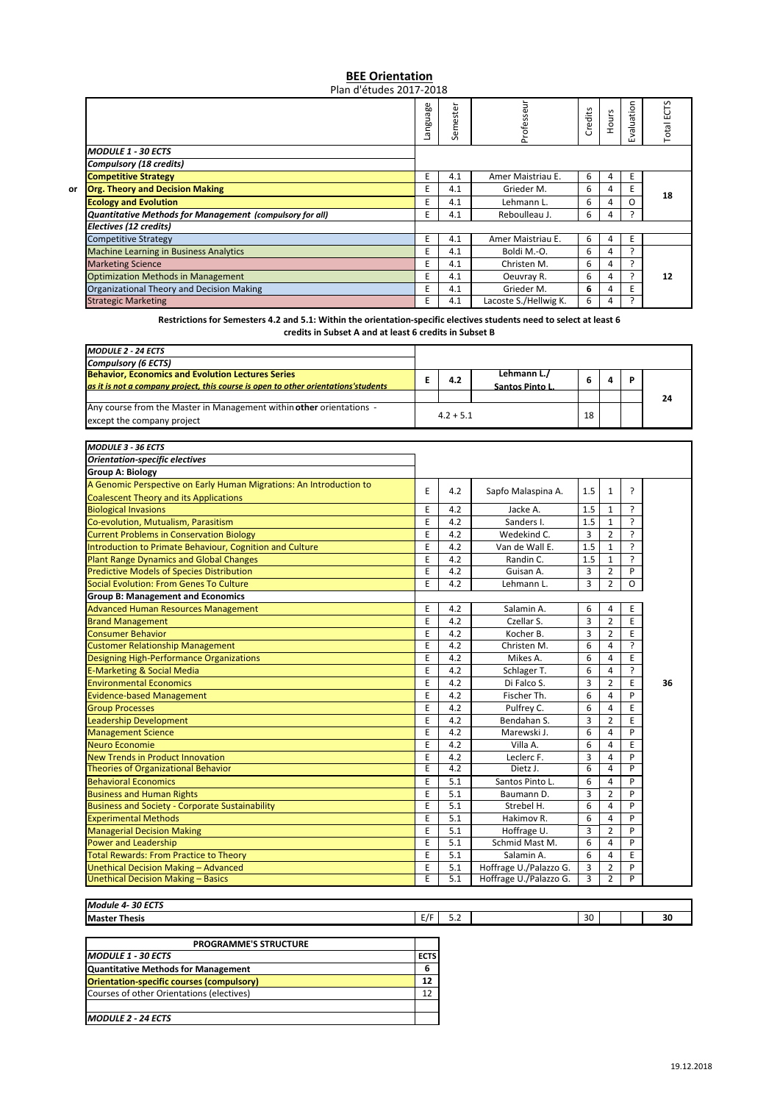## **BEE Orientation** Plan d'études 2017‐2018

Language Professeur Professeur Evaluation **Total ECTS** Semester Evaluation Total ECTS Semester Credits Hours *MODULE 1 ‐ 30 ECTS Compulsory (18 credits)* **Competitive Strategy**<br> **Competitive Strategy**<br> **City** Critics Are Critics Area Competitive Strategy of the Critics Area Critics Are Critics Area Critics Area Critics Area Critics Area Critics Area Critics Area Critics Are **or Grg. Theory and Decision Making Contained Act 10 Contained Act 10 Contained Act 10 Contained Act 10 Contained Act 10 Contained Act 10 Contained Act 10 Contained Act 10 Contained Act 10 Contained Act 10 Contained Act 18 Ecology and Evolution**<br> **E** 4.1 Lehmann L. 6 4 O<br> **Quantitative Methods for Management (compulsory for all) E** 4.1 Reboulleau J. 6 4 ? *Quantitative Methods for Management (compulsory for all)* **E 4.1 Reboulleau J. 6 4** *Electives (12 credits)* Competitive Strategy<br>
Competitive Strategy<br>
Machine Learning in Business Analytics<br>
Machine Learning in Business Analytics<br>
E 4.1 Boldi M.-O. 6 4 ? Machine Learning in Business Analytics Marketing Science<br>
Marketing Science<br>
Optimization Methods in Management<br>  $E = 4.1$  Cleuvray R. 6 4 ? Optimization Methods in Management **E** 4.1 Oeuvray R. 6 4<br>
Organizational Theory and Decision Making **E** 4.1 Grieder M. 6 4 **12** Organizational Theory and Decision Making **E**  $\begin{bmatrix} E & 4.1 \end{bmatrix}$  Grieder M. **6** 4 **E** Strategic Marketing **E 4.1 Lacoste S./Hellwig K.** 6 4 ?

> Restrictions for Semesters 4.2 and 5.1: Within the orientation-specific electives students need to select at least 6 **credits in Subset A and at least 6 credits in Subset B**

| <b>MODULE 2 - 24 ECTS</b>                                                          |             |     |                 |    |  |    |
|------------------------------------------------------------------------------------|-------------|-----|-----------------|----|--|----|
| Compulsory (6 ECTS)                                                                |             |     |                 |    |  |    |
| <b>Behavior, Economics and Evolution Lectures Series</b>                           |             | 4.2 | Lehmann L./     |    |  |    |
| as it is not a company project, this course is open to other orientations'students |             |     | Santos Pinto L. |    |  |    |
|                                                                                    |             |     |                 |    |  | 24 |
| Any course from the Master in Management within other orientations -               | $4.2 + 5.1$ |     |                 |    |  |    |
| except the company project                                                         |             |     |                 | 18 |  |    |

| <b>MODULE 3 - 36 ECTS</b>                                           |   |     |                        |     |                |                |    |
|---------------------------------------------------------------------|---|-----|------------------------|-----|----------------|----------------|----|
| <b>Orientation-specific electives</b>                               |   |     |                        |     |                |                |    |
| <b>Group A: Biology</b>                                             |   |     |                        |     |                |                |    |
| A Genomic Perspective on Early Human Migrations: An Introduction to | E | 4.2 | Sapfo Malaspina A.     | 1.5 | $\mathbf{1}$   | <sup>2</sup>   |    |
| <b>Coalescent Theory and its Applications</b>                       |   |     |                        |     |                |                |    |
| <b>Biological Invasions</b>                                         | E | 4.2 | Jacke A.               | 1.5 | $\mathbf{1}$   | ?              |    |
| Co-evolution, Mutualism, Parasitism                                 | E | 4.2 | Sanders I.             | 1.5 | 1              | ?              |    |
| <b>Current Problems in Conservation Biology</b>                     | E | 4.2 | Wedekind C.            | 3   | $\overline{2}$ | ?              |    |
| Introduction to Primate Behaviour, Cognition and Culture            | E | 4.2 | Van de Wall E.         | 1.5 | $\mathbf{1}$   | <sup>2</sup>   |    |
| <b>Plant Range Dynamics and Global Changes</b>                      | E | 4.2 | Randin C.              | 1.5 | $\mathbf{1}$   | $\mathcal{L}$  |    |
| <b>Predictive Models of Species Distribution</b>                    | E | 4.2 | Guisan A.              | 3   | $\overline{2}$ | P              |    |
| Social Evolution: From Genes To Culture                             | E | 4.2 | Lehmann L.             | 3   | $\overline{2}$ | O              |    |
| <b>Group B: Management and Economics</b>                            |   |     |                        |     |                |                |    |
| <b>Advanced Human Resources Management</b>                          | E | 4.2 | Salamin A.             | 6   | 4              | E              |    |
| <b>Brand Management</b>                                             | E | 4.2 | Czellar S.             | 3   | $\overline{2}$ | $\overline{E}$ |    |
| <b>Consumer Behavior</b>                                            | E | 4.2 | Kocher B.              | 3   | $\overline{2}$ | E              |    |
| <b>Customer Relationship Management</b>                             | E | 4.2 | Christen M.            | 6   | 4              | $\overline{?}$ |    |
| <b>Designing High-Performance Organizations</b>                     | E | 4.2 | Mikes A.               | 6   | 4              | E              |    |
| <b>E-Marketing &amp; Social Media</b>                               | E | 4.2 | Schlager T.            | 6   | 4              | ?              |    |
| <b>Environmental Economics</b>                                      | E | 4.2 | Di Falco S.            | 3   | $\overline{2}$ | E              | 36 |
| <b>Evidence-based Management</b>                                    | E | 4.2 | Fischer Th.            | 6   | 4              | P              |    |
| <b>Group Processes</b>                                              | E | 4.2 | Pulfrey C.             | 6   | $\overline{4}$ | E              |    |
| <b>Leadership Development</b>                                       | E | 4.2 | Bendahan S.            | 3   | $\overline{2}$ | E              |    |
| <b>Management Science</b>                                           | E | 4.2 | Marewski J.            | 6   | 4              | P              |    |
| <b>Neuro Economie</b>                                               | E | 4.2 | Villa A.               | 6   | 4              | E              |    |
| <b>New Trends in Product Innovation</b>                             | E | 4.2 | Leclerc F.             | 3   | $\overline{a}$ | P              |    |
| <b>Theories of Organizational Behavior</b>                          | E | 4.2 | Dietz J.               | 6   | 4              | $\overline{P}$ |    |
| <b>Behavioral Economics</b>                                         | E | 5.1 | Santos Pinto L.        | 6   | 4              | P              |    |
| <b>Business and Human Rights</b>                                    | E | 5.1 | Baumann D.             | 3   | $\overline{2}$ | P              |    |
| <b>Business and Society - Corporate Sustainability</b>              | E | 5.1 | Strebel H.             | 6   | 4              | P              |    |
| <b>Experimental Methods</b>                                         | E | 5.1 | Hakimov R.             | 6   | 4              | P              |    |
| <b>Managerial Decision Making</b>                                   | E | 5.1 | Hoffrage U.            | 3   | $\overline{2}$ | P              |    |
| <b>Power and Leadership</b>                                         | E | 5.1 | Schmid Mast M.         | 6   | 4              | P              |    |
| <b>Total Rewards: From Practice to Theory</b>                       | E | 5.1 | Salamin A.             | 6   | 4              | E              |    |
| Unethical Decision Making - Advanced                                | E | 5.1 | Hoffrage U./Palazzo G. | 3   | $\overline{2}$ | P              |    |
| Unethical Decision Making - Basics                                  | E | 5.1 | Hoffrage U./Palazzo G. | 3   | $\overline{2}$ | P              |    |

## *Module 4‐ 30 ECTS* **Master Thesis** E/F 5.2 30 **30**

| <b>PROGRAMME'S STRUCTURE</b>                     |             |
|--------------------------------------------------|-------------|
| <b>MODULE 1 - 30 ECTS</b>                        | <b>ECTS</b> |
| <b>Quantitative Methods for Management</b>       | 6           |
| <b>Orientation-specific courses (compulsory)</b> | 12          |
| Courses of other Orientations (electives)        | 12          |
|                                                  |             |
| <b>MODULE 2 - 24 ECTS</b>                        |             |